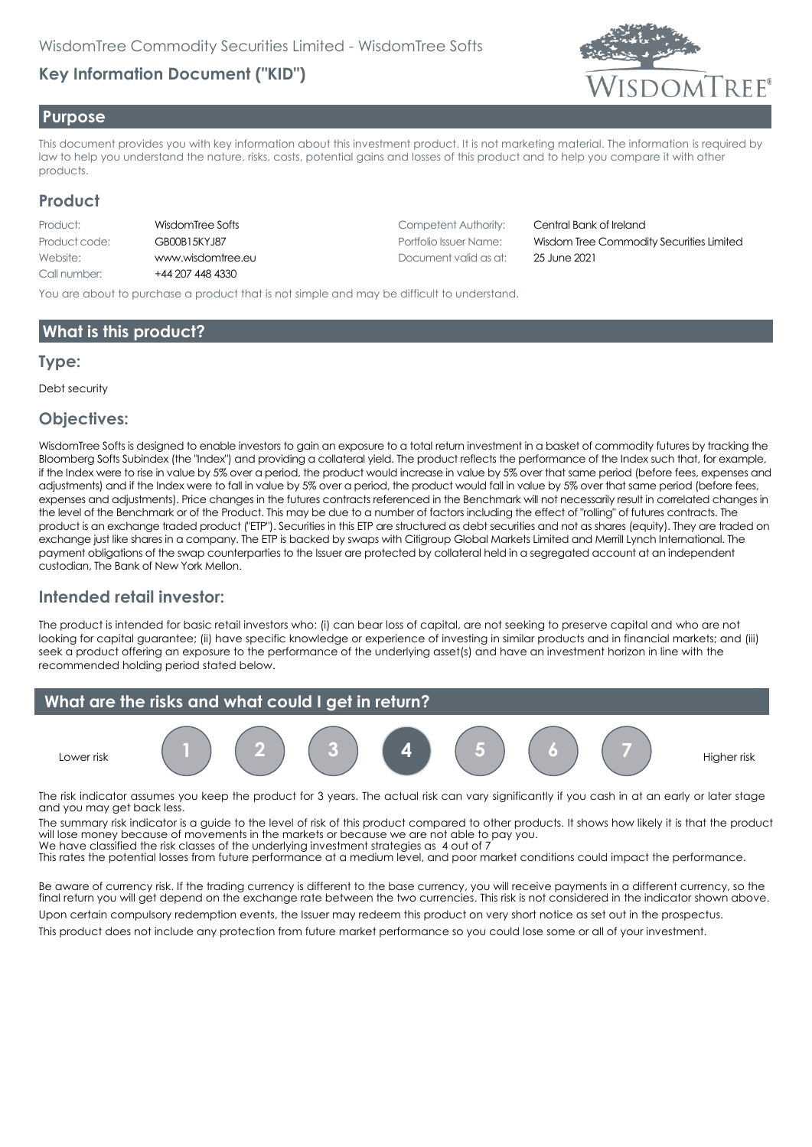# **Key Information Document ("KID")**



#### **Purpose**

This document provides you with key information about this investment product. It is not marketing material. The information is required by law to help you understand the nature, risks, costs, potential gains and losses of this product and to help you compare it with other products.

### **Product**

| Product:      | Wi   |
|---------------|------|
| Product code: | GE   |
| Website:      | w    |
| Call number:  | $+4$ |

4 207 448 4330

**Products: Reserve Authority: Competent Authority: Central Bank of Ireland** Website: www.wisdomtree.eu Document valid as at: 25 June 2021

Product code: GB00B15KYJ87 Portfolio Issuer Name: Wisdom Tree Commodity Securities Limited

You are about to purchase a product that is not simple and may be difficult to understand.

# **What is this product?**

#### **Type:**

Debt security

#### **Objectives:**

WisdomTree Softs is designed to enable investors to gain an exposure to a total return investment in a basket of commodity futures by tracking the Bloomberg Softs Subindex (the "Index") and providing a collateral yield. The product reflects the performance of the Index such that, for example, if the Index were to rise in value by 5% over a period, the product would increase in value by 5% over that same period (before fees, expenses and adjustments) and if the Index were to fall in value by 5% over a period, the product would fall in value by 5% over that same period (before fees, expenses and adjustments). Price changes in the futures contracts referenced in the Benchmark will not necessarily result in correlated changes in the level of the Benchmark or of the Product. This may be due to a number of factors including the effect of "rolling" of futures contracts. The product is an exchange traded product ("ETP"). Securities in this ETP are structured as debt securities and not as shares (equity). They are traded on exchange just like shares in a company. The ETP is backed by swaps with Citigroup Global Markets Limited and Merrill Lynch International. The payment obligations of the swap counterparties to the Issuer are protected by collateral held in a segregated account at an independent custodian, The Bank of New York Mellon.

# **Intended retail investor:**

The product is intended for basic retail investors who: (i) can bear loss of capital, are not seeking to preserve capital and who are not looking for capital guarantee; (ii) have specific knowledge or experience of investing in similar products and in financial markets; and (iii) seek a product offering an exposure to the performance of the underlying asset(s) and have an investment horizon in line with the recommended holding period stated below.



The risk indicator assumes you keep the product for 3 years. The actual risk can vary significantly if you cash in at an early or later stage and you may get back less.

The summary risk indicator is a guide to the level of risk of this product compared to other products. It shows how likely it is that the product will lose money because of movements in the markets or because we are not able to pay you. We have classified the risk classes of the underlying investment strategies as 4 out of 7

This rates the potential losses from future performance at a medium level, and poor market conditions could impact the performance.

Be aware of currency risk. If the trading currency is different to the base currency, you will receive payments in a different currency, so the final return you will get depend on the exchange rate between the two currencies. This risk is not considered in the indicator shown above. Upon certain compulsory redemption events, the Issuer may redeem this product on very short notice as set out in the prospectus.

This product does not include any protection from future market performance so you could lose some or all of your investment.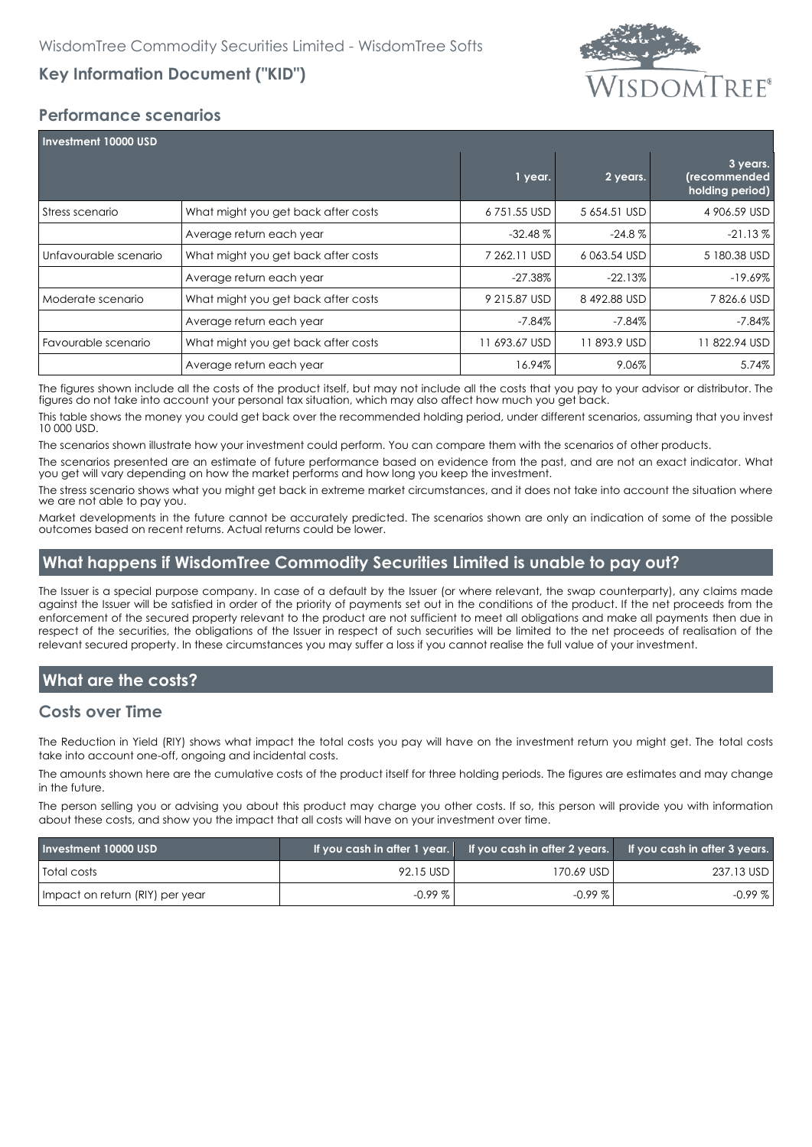# **Key Information Document ("KID")**



### **Performance scenarios**

| Investment 10000 USD  |                                     |               |              |                                             |  |
|-----------------------|-------------------------------------|---------------|--------------|---------------------------------------------|--|
|                       |                                     | 1 year.       | 2 years.     | 3 years.<br>(recommended<br>holding period) |  |
| Stress scenario       | What might you get back after costs | 6751.55 USD   | 5 654.51 USD | 4 906.59 USD                                |  |
|                       | Average return each year            | $-32.48\%$    | $-24.8\%$    | $-21.13\%$                                  |  |
| Unfavourable scenario | What might you get back after costs | 7 262.11 USD  | 6063.54 USD  | 5 180.38 USD                                |  |
|                       | Average return each year            | $-27.38\%$    | $-22.13%$    | $-19.69%$                                   |  |
| Moderate scenario     | What might you get back after costs | 9 215.87 USD  | 8492.88 USD  | 7826.6 USD                                  |  |
|                       | Average return each year            | $-7.84%$      | $-7.84%$     | $-7.84%$                                    |  |
| Favourable scenario   | What might you get back after costs | 11 693.67 USD | 11893.9 USD  | 1822.94 USD                                 |  |
|                       | Average return each year            | 16.94%        | 9.06%        | 5.74%                                       |  |

The figures shown include all the costs of the product itself, but may not include all the costs that you pay to your advisor or distributor. The figures do not take into account your personal tax situation, which may also affect how much you get back.

This table shows the money you could get back over the recommended holding period, under different scenarios, assuming that you invest 10 000 USD.

The scenarios shown illustrate how your investment could perform. You can compare them with the scenarios of other products.

The scenarios presented are an estimate of future performance based on evidence from the past, and are not an exact indicator. What you get will vary depending on how the market performs and how long you keep the investment.

The stress scenario shows what you might get back in extreme market circumstances, and it does not take into account the situation where we are not able to pay you.

Market developments in the future cannot be accurately predicted. The scenarios shown are only an indication of some of the possible outcomes based on recent returns. Actual returns could be lower.

### **What happens if WisdomTree Commodity Securities Limited is unable to pay out?**

The Issuer is a special purpose company. In case of a default by the Issuer (or where relevant, the swap counterparty), any claims made against the Issuer will be satisfied in order of the priority of payments set out in the conditions of the product. If the net proceeds from the enforcement of the secured property relevant to the product are not sufficient to meet all obligations and make all payments then due in respect of the securities, the obligations of the Issuer in respect of such securities will be limited to the net proceeds of realisation of the relevant secured property. In these circumstances you may suffer a loss if you cannot realise the full value of your investment.

# **What are the costs?**

#### **Costs over Time**

The Reduction in Yield (RIY) shows what impact the total costs you pay will have on the investment return you might get. The total costs take into account one-off, ongoing and incidental costs.

The amounts shown here are the cumulative costs of the product itself for three holding periods. The figures are estimates and may change in the future.

The person selling you or advising you about this product may charge you other costs. If so, this person will provide you with information about these costs, and show you the impact that all costs will have on your investment over time.

| Investment 10000 USD            |           |              | If you cash in after 1 year. If you cash in after 2 years. If you cash in after 3 years. |
|---------------------------------|-----------|--------------|------------------------------------------------------------------------------------------|
| <b>Total costs</b>              | 92.15 USD | 170.69 USD I | 237.13 USD                                                                               |
| Impact on return (RIY) per year | $-0.99\%$ | $-0.99\%$    | $-0.99%$                                                                                 |